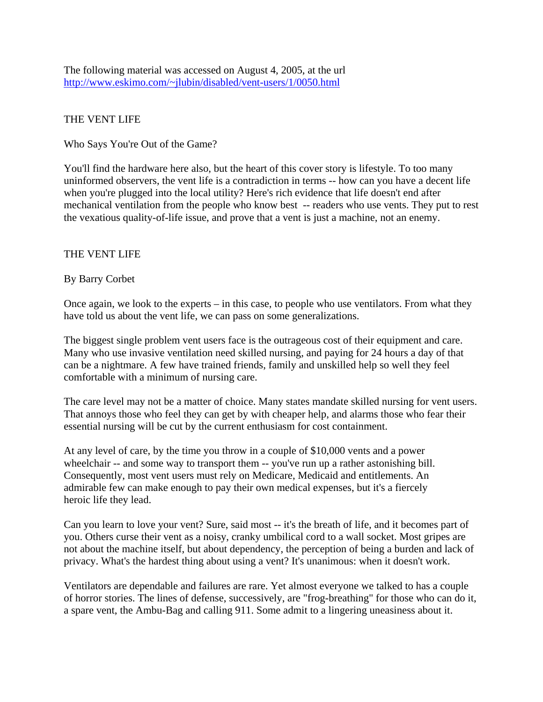The following material was accessed on August 4, 2005, at the url <http://www.eskimo.com/~jlubin/disabled/vent-users/1/0050.html>

## THE VENT LIFE

Who Says You're Out of the Game?

You'll find the hardware here also, but the heart of this cover story is lifestyle. To too many uninformed observers, the vent life is a contradiction in terms -- how can you have a decent life when you're plugged into the local utility? Here's rich evidence that life doesn't end after mechanical ventilation from the people who know best -- readers who use vents. They put to rest the vexatious quality-of-life issue, and prove that a vent is just a machine, not an enemy.

## THE VENT LIFE

## By Barry Corbet

Once again, we look to the experts – in this case, to people who use ventilators. From what they have told us about the vent life, we can pass on some generalizations.

The biggest single problem vent users face is the outrageous cost of their equipment and care. Many who use invasive ventilation need skilled nursing, and paying for 24 hours a day of that can be a nightmare. A few have trained friends, family and unskilled help so well they feel comfortable with a minimum of nursing care.

The care level may not be a matter of choice. Many states mandate skilled nursing for vent users. That annoys those who feel they can get by with cheaper help, and alarms those who fear their essential nursing will be cut by the current enthusiasm for cost containment.

At any level of care, by the time you throw in a couple of \$10,000 vents and a power wheelchair -- and some way to transport them -- you've run up a rather astonishing bill. Consequently, most vent users must rely on Medicare, Medicaid and entitlements. An admirable few can make enough to pay their own medical expenses, but it's a fiercely heroic life they lead.

Can you learn to love your vent? Sure, said most -- it's the breath of life, and it becomes part of you. Others curse their vent as a noisy, cranky umbilical cord to a wall socket. Most gripes are not about the machine itself, but about dependency, the perception of being a burden and lack of privacy. What's the hardest thing about using a vent? It's unanimous: when it doesn't work.

Ventilators are dependable and failures are rare. Yet almost everyone we talked to has a couple of horror stories. The lines of defense, successively, are "frog-breathing" for those who can do it, a spare vent, the Ambu-Bag and calling 911. Some admit to a lingering uneasiness about it.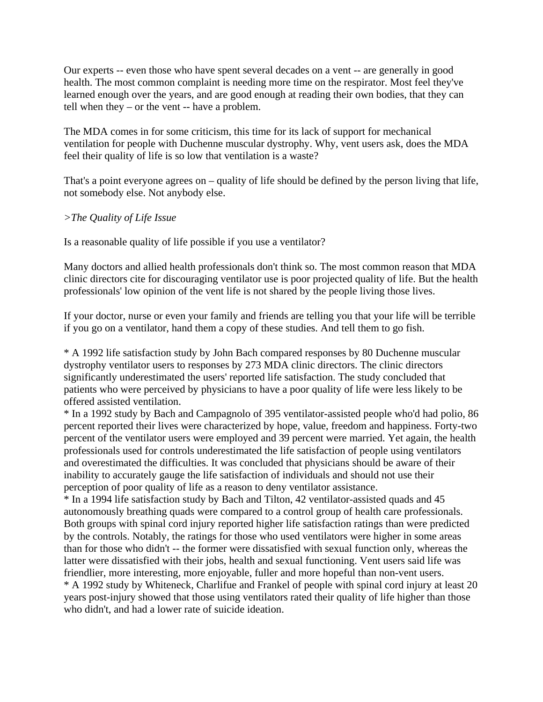Our experts -- even those who have spent several decades on a vent -- are generally in good health. The most common complaint is needing more time on the respirator. Most feel they've learned enough over the years, and are good enough at reading their own bodies, that they can tell when they – or the vent -- have a problem.

The MDA comes in for some criticism, this time for its lack of support for mechanical ventilation for people with Duchenne muscular dystrophy. Why, vent users ask, does the MDA feel their quality of life is so low that ventilation is a waste?

That's a point everyone agrees on – quality of life should be defined by the person living that life, not somebody else. Not anybody else.

## *>The Quality of Life Issue*

Is a reasonable quality of life possible if you use a ventilator?

Many doctors and allied health professionals don't think so. The most common reason that MDA clinic directors cite for discouraging ventilator use is poor projected quality of life. But the health professionals' low opinion of the vent life is not shared by the people living those lives.

If your doctor, nurse or even your family and friends are telling you that your life will be terrible if you go on a ventilator, hand them a copy of these studies. And tell them to go fish.

\* A 1992 life satisfaction study by John Bach compared responses by 80 Duchenne muscular dystrophy ventilator users to responses by 273 MDA clinic directors. The clinic directors significantly underestimated the users' reported life satisfaction. The study concluded that patients who were perceived by physicians to have a poor quality of life were less likely to be offered assisted ventilation.

\* In a 1992 study by Bach and Campagnolo of 395 ventilator-assisted people who'd had polio, 86 percent reported their lives were characterized by hope, value, freedom and happiness. Forty-two percent of the ventilator users were employed and 39 percent were married. Yet again, the health professionals used for controls underestimated the life satisfaction of people using ventilators and overestimated the difficulties. It was concluded that physicians should be aware of their inability to accurately gauge the life satisfaction of individuals and should not use their perception of poor quality of life as a reason to deny ventilator assistance.

\* In a 1994 life satisfaction study by Bach and Tilton, 42 ventilator-assisted quads and 45 autonomously breathing quads were compared to a control group of health care professionals. Both groups with spinal cord injury reported higher life satisfaction ratings than were predicted by the controls. Notably, the ratings for those who used ventilators were higher in some areas than for those who didn't -- the former were dissatisfied with sexual function only, whereas the latter were dissatisfied with their jobs, health and sexual functioning. Vent users said life was friendlier, more interesting, more enjoyable, fuller and more hopeful than non-vent users. \* A 1992 study by Whiteneck, Charlifue and Frankel of people with spinal cord injury at least 20

years post-injury showed that those using ventilators rated their quality of life higher than those who didn't, and had a lower rate of suicide ideation.